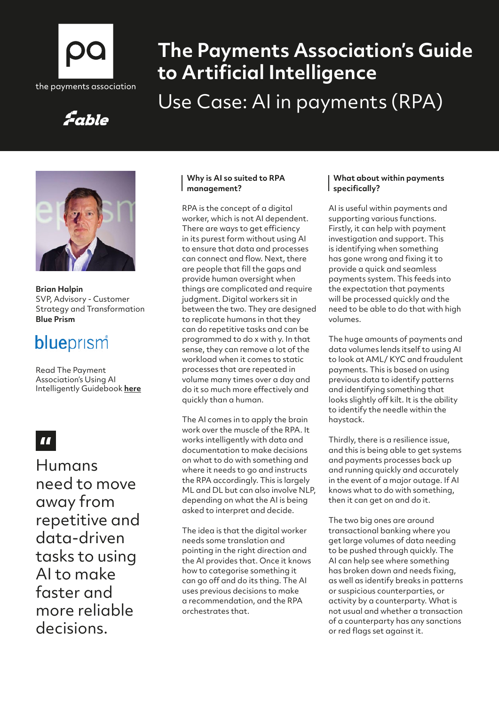

# **The Payments Association's Guide to Artificial Intelligence**

# Use Case: AI in payments (RPA)

### Fable



**Brian Halpin**  SVP, Advisory - Customer Strategy and Transformation **Blue Prism**

## blueprism

Read The Payment Association's Using AI Intelligently Guidebook **[here](https://thepaymentsassociation.org/whitepaper/using-ai-intelligently-smart-ways-to-use-artificial-intelligence-in-payments/)**

### $\blacksquare$

Humans need to move away from repetitive and data-driven tasks to using AI to make faster and more reliable decisions.

#### **Why is AI so suited to RPA management?**

RPA is the concept of a digital worker, which is not AI dependent. There are ways to get efficiency in its purest form without using AI to ensure that data and processes can connect and flow. Next, there are people that fill the gaps and provide human oversight when things are complicated and require judgment. Digital workers sit in between the two. They are designed to replicate humans in that they can do repetitive tasks and can be programmed to do x with y. In that sense, they can remove a lot of the workload when it comes to static processes that are repeated in volume many times over a day and do it so much more effectively and quickly than a human.

The AI comes in to apply the brain work over the muscle of the RPA. It works intelligently with data and documentation to make decisions on what to do with something and where it needs to go and instructs the RPA accordingly. This is largely ML and DL but can also involve NLP, depending on what the AI is being asked to interpret and decide.

The idea is that the digital worker needs some translation and pointing in the right direction and the AI provides that. Once it knows how to categorise something it can go off and do its thing. The AI uses previous decisions to make a recommendation, and the RPA orchestrates that.

#### **What about within payments specifically?**

AI is useful within payments and supporting various functions. Firstly, it can help with payment investigation and support. This is identifying when something has gone wrong and fixing it to provide a quick and seamless payments system. This feeds into the expectation that payments will be processed quickly and the need to be able to do that with high volumes.

The huge amounts of payments and data volumes lends itself to using AI to look at AML/ KYC and fraudulent payments. This is based on using previous data to identify patterns and identifying something that looks slightly off kilt. It is the ability to identify the needle within the haystack.

Thirdly, there is a resilience issue, and this is being able to get systems and payments processes back up and running quickly and accurately in the event of a major outage. If AI knows what to do with something, then it can get on and do it.

The two big ones are around transactional banking where you get large volumes of data needing to be pushed through quickly. The AI can help see where something has broken down and needs fixing, as well as identify breaks in patterns or suspicious counterparties, or activity by a counterparty. What is not usual and whether a transaction of a counterparty has any sanctions or red flags set against it.